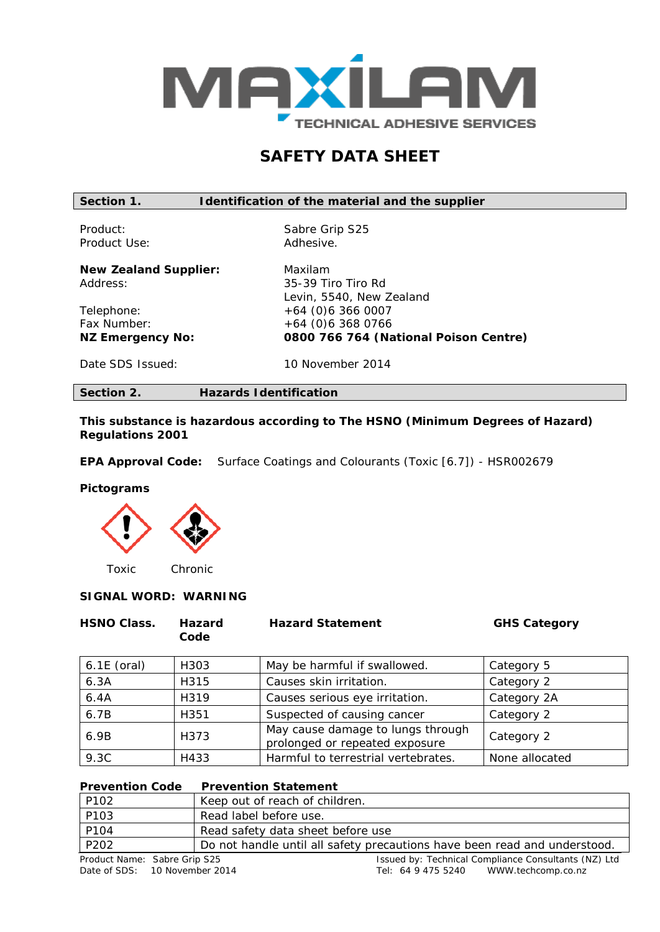

# **SAFETY DATA SHEET**

**Section 1. Identification of the material and the supplier**

Product Use: Adhesive.

Product: Sabre Grip S25

**New Zealand Supplier:** Maxilam Address: 35-39 Tiro Tiro Rd

Telephone: +64 (0)6 366 0007<br>Fax Number: +64 (0)6 368 0766

Levin, 5540, New Zealand Fax Number: +64 (0)6 368 0766<br>
NZ Emergency No: 0800 766 764 (Na **NZ Emergency No: 0800 766 764 (National Poison Centre)**

Date SDS Issued: 10 November 2014

**Section 2. Hazards Identification**

**This substance is hazardous according to The** *HSNO (Minimum Degrees of Hazard) Regulations 2001*

**EPA Approval Code:** Surface Coatings and Colourants (Toxic [6.7]) - HSR002679

#### **Pictograms**



# **SIGNAL WORD: WARNING**

| <b>HSNO Class.</b> | <b>Hazard</b><br>Code | <b>Hazard Statement</b>                                             | <b>GHS Category</b> |
|--------------------|-----------------------|---------------------------------------------------------------------|---------------------|
| $6.1E$ (oral)      | H303                  | May be harmful if swallowed.                                        | Category 5          |
| 6.3A               | H315                  | Causes skin irritation.                                             | Category 2          |
| 6.4A               | H319                  | Causes serious eye irritation.                                      | Category 2A         |
| 6.7B               | H <sub>351</sub>      | Suspected of causing cancer                                         | Category 2          |
| 6.9B               | H373                  | May cause damage to lungs through<br>prolonged or repeated exposure | Category 2          |
| 9.3C               | H433                  | Harmful to terrestrial vertebrates.                                 | None allocated      |

| <b>Prevention Code</b> | <b>Prevention Statement</b>                                               |
|------------------------|---------------------------------------------------------------------------|
| P102                   | Keep out of reach of children.                                            |
| P103                   | Read label before use.                                                    |
| P104                   | Read safety data sheet before use                                         |
| P202                   | Do not handle until all safety precautions have been read and understood. |
|                        |                                                                           |

Product Name: Sabre Grip S25 <br>
Date of SDS: 10 November 2014 **In the Consultant Consultant Consultants (NZ)** Ltd<br>
Tel: 64 9 475 5240 WWW.techcomp.co.nz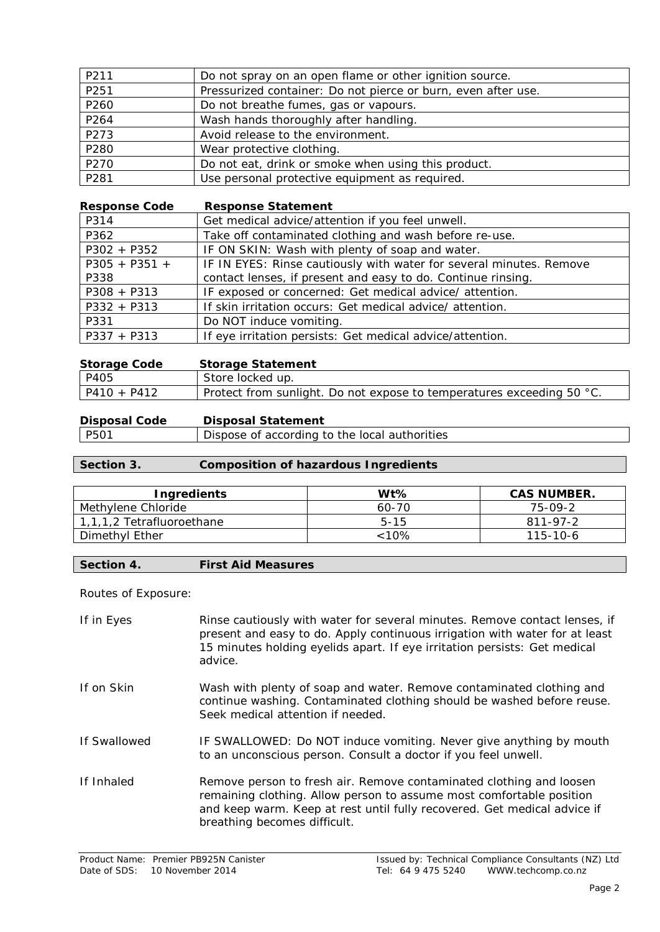| P211 | Do not spray on an open flame or other ignition source.       |
|------|---------------------------------------------------------------|
| P251 | Pressurized container: Do not pierce or burn, even after use. |
| P260 | Do not breathe fumes, gas or vapours.                         |
| P264 | Wash hands thoroughly after handling.                         |
| P273 | Avoid release to the environment.                             |
| P280 | Wear protective clothing.                                     |
| P270 | Do not eat, drink or smoke when using this product.           |
| P281 | Use personal protective equipment as required.                |

| <b>Response Code</b> | <b>Response Statement</b>                                           |
|----------------------|---------------------------------------------------------------------|
| P314                 | Get medical advice/attention if you feel unwell.                    |
| P362                 | Take off contaminated clothing and wash before re-use.              |
| $P302 + P352$        | IF ON SKIN: Wash with plenty of soap and water.                     |
| $P305 + P351 +$      | IF IN EYES: Rinse cautiously with water for several minutes. Remove |
| P338                 | contact lenses, if present and easy to do. Continue rinsing.        |
| $P308 + P313$        | IF exposed or concerned: Get medical advice/attention.              |
| $P332 + P313$        | If skin irritation occurs: Get medical advice/ attention.           |
| P331                 | Do NOT induce vomiting.                                             |
| $P337 + P313$        | If eye irritation persists: Get medical advice/attention.           |

| <b>Storage Code</b> | <b>Storage Statement</b>                                              |
|---------------------|-----------------------------------------------------------------------|
| P405                | Store locked up.                                                      |
| $P410 + P412$       | Protect from sunlight. Do not expose to temperatures exceeding 50 °C. |

| <b>Disposal Code</b> | <b>Disposal Statement</b> |
|----------------------|---------------------------|
|                      |                           |

P501 Dispose of according to the local authorities

# **Section 3. Composition of hazardous Ingredients**

| Ingredients               | Wt%      | <b>CAS NUMBER.</b> |
|---------------------------|----------|--------------------|
| Methylene Chloride        | 60-70    | 75-09-2            |
| 1,1,1,2 Tetrafluoroethane | $5 - 15$ | 811-97-2           |
| Dimethyl Ether            | $< 10\%$ | 115-10-6           |

# **Section 4. First Aid Measures**

Routes of Exposure:

| If in Eyes   | Rinse cautiously with water for several minutes. Remove contact lenses, if<br>present and easy to do. Apply continuous irrigation with water for at least<br>15 minutes holding eyelids apart. If eye irritation persists: Get medical<br>advice.       |
|--------------|---------------------------------------------------------------------------------------------------------------------------------------------------------------------------------------------------------------------------------------------------------|
| If on Skin   | Wash with plenty of soap and water. Remove contaminated clothing and<br>continue washing. Contaminated clothing should be washed before reuse.<br>Seek medical attention if needed.                                                                     |
| If Swallowed | IF SWALLOWED: Do NOT induce vomiting. Never give anything by mouth<br>to an unconscious person. Consult a doctor if you feel unwell.                                                                                                                    |
| If Inhaled   | Remove person to fresh air. Remove contaminated clothing and loosen<br>remaining clothing. Allow person to assume most comfortable position<br>and keep warm. Keep at rest until fully recovered. Get medical advice if<br>breathing becomes difficult. |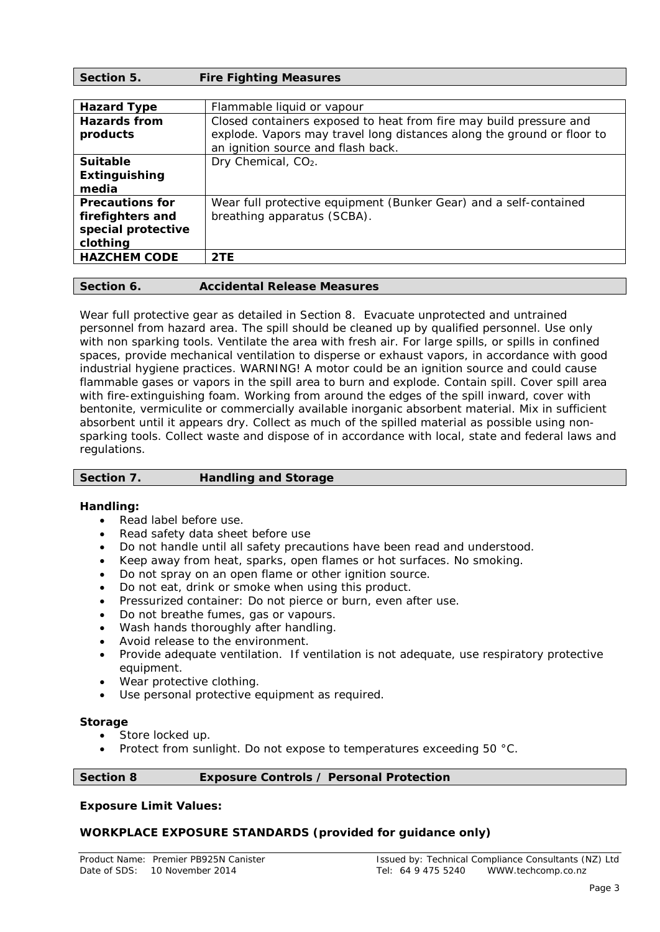| Section 5.                                                                   | <b>Fire Fighting Measures</b>                                                                                                                                                      |
|------------------------------------------------------------------------------|------------------------------------------------------------------------------------------------------------------------------------------------------------------------------------|
|                                                                              |                                                                                                                                                                                    |
| <b>Hazard Type</b>                                                           | Flammable liquid or vapour                                                                                                                                                         |
| <b>Hazards from</b><br>products                                              | Closed containers exposed to heat from fire may build pressure and<br>explode. Vapors may travel long distances along the ground or floor to<br>an ignition source and flash back. |
| <b>Suitable</b>                                                              | Dry Chemical, CO <sub>2</sub> .                                                                                                                                                    |
| Extinguishing<br>media                                                       |                                                                                                                                                                                    |
| <b>Precautions for</b><br>firefighters and<br>special protective<br>clothing | Wear full protective equipment (Bunker Gear) and a self-contained<br>breathing apparatus (SCBA).                                                                                   |
| <b>HAZCHEM CODE</b>                                                          | 2TE                                                                                                                                                                                |
|                                                                              |                                                                                                                                                                                    |

#### **Section 6. Accidental Release Measures**

Wear full protective gear as detailed in Section 8. Evacuate unprotected and untrained personnel from hazard area. The spill should be cleaned up by qualified personnel. Use only with non sparking tools. Ventilate the area with fresh air. For large spills, or spills in confined spaces, provide mechanical ventilation to disperse or exhaust vapors, in accordance with good industrial hygiene practices. WARNING! A motor could be an ignition source and could cause flammable gases or vapors in the spill area to burn and explode. Contain spill. Cover spill area with fire-extinguishing foam. Working from around the edges of the spill inward, cover with bentonite, vermiculite or commercially available inorganic absorbent material. Mix in sufficient absorbent until it appears dry. Collect as much of the spilled material as possible using nonsparking tools. Collect waste and dispose of in accordance with local, state and federal laws and regulations.

| Section 7. | <b>Handling and Storage</b> |
|------------|-----------------------------|
|            |                             |

#### **Handling:**

- Read label before use.
- Read safety data sheet before use
- Do not handle until all safety precautions have been read and understood.
- Keep away from heat, sparks, open flames or hot surfaces. No smoking.
- Do not spray on an open flame or other ignition source.
- Do not eat, drink or smoke when using this product.
- Pressurized container: Do not pierce or burn, even after use.
- Do not breathe fumes, gas or vapours.
- Wash hands thoroughly after handling.
- Avoid release to the environment.
- Provide adequate ventilation. If ventilation is not adequate, use respiratory protective equipment.
- Wear protective clothing.
- Use personal protective equipment as required.

#### **Storage**

- Store locked up.
- Protect from sunlight. Do not expose to temperatures exceeding 50 °C.

#### **Section 8 Exposure Controls / Personal Protection**

#### **Exposure Limit Values:**

#### **WORKPLACE EXPOSURE STANDARDS (provided for guidance only)**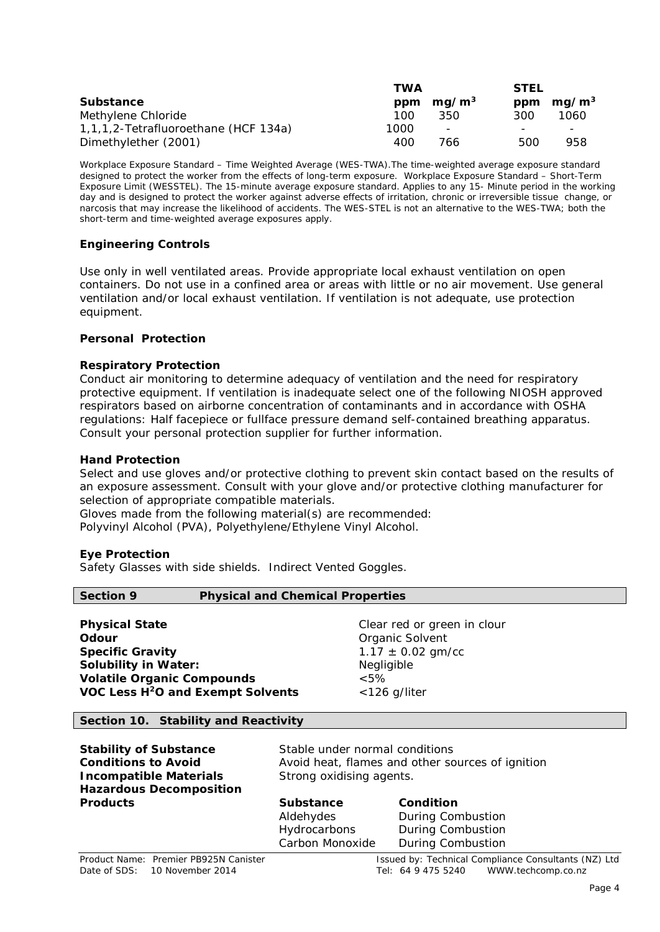|                                      | TWA  |                          | <b>STEL</b> |                   |  |
|--------------------------------------|------|--------------------------|-------------|-------------------|--|
| <b>Substance</b>                     |      | ppm $mq/m3$              | ppm         | mq/m <sup>3</sup> |  |
| Methylene Chloride                   | 100  | 350                      | 300.        | 1060              |  |
| 1,1,1,2-Tetrafluoroethane (HCF 134a) | 1000 | $\overline{\phantom{0}}$ |             | -                 |  |
| Dimethylether (2001)                 | 400  | 766.                     | 500         | 958               |  |

Workplace Exposure Standard – Time Weighted Average (WES-TWA*).The time-weighted average exposure standard designed to protect the worker from the effects of long-term exposure.* Workplace Exposure Standard – Short-Term Exposure Limit (WESSTEL). *The 15-minute average exposure standard.* Applies to any 15- Minute period in the working day and is designed to protect the worker against adverse effects of irritation, chronic or irreversible tissue change, or narcosis that may increase the likelihood of accidents. The WES-STEL is not an alternative to the WES-TWA; both the short-term and time-weighted average exposures apply.

# **Engineering Controls**

Use only in well ventilated areas. Provide appropriate local exhaust ventilation on open containers. Do not use in a confined area or areas with little or no air movement. Use general ventilation and/or local exhaust ventilation. If ventilation is not adequate, use protection equipment.

#### **Personal Protection**

#### **Respiratory Protection**

Conduct air monitoring to determine adequacy of ventilation and the need for respiratory protective equipment. If ventilation is inadequate select one of the following NIOSH approved respirators based on airborne concentration of contaminants and in accordance with OSHA regulations: Half facepiece or fullface pressure demand self-contained breathing apparatus. Consult your personal protection supplier for further information.

#### **Hand Protection**

Select and use gloves and/or protective clothing to prevent skin contact based on the results of an exposure assessment. Consult with your glove and/or protective clothing manufacturer for selection of appropriate compatible materials.

Gloves made from the following material(s) are recommended:

Polyvinyl Alcohol (PVA), Polyethylene/Ethylene Vinyl Alcohol.

#### **Eye Protection**

Safety Glasses with side shields. Indirect Vented Goggles.

| <b>Section 9</b>                              | <b>Physical and Chemical Properties</b> |                             |  |
|-----------------------------------------------|-----------------------------------------|-----------------------------|--|
|                                               |                                         |                             |  |
| <b>Physical State</b>                         |                                         | Clear red or green in clour |  |
| Odour                                         |                                         | Organic Solvent             |  |
| <b>Specific Gravity</b>                       |                                         | $1.17 \pm 0.02$ gm/cc       |  |
| <b>Solubility in Water:</b>                   |                                         | Negligible                  |  |
| <b>Volatile Organic Compounds</b>             |                                         | $<5\%$                      |  |
| VOC Less H <sup>2</sup> O and Exempt Solvents |                                         | $<$ 126 g/liter             |  |

#### **Section 10. Stability and Reactivity**

| <b>Stability of Substance</b><br><b>Conditions to Avoid</b><br><b>Incompatible Materials</b><br><b>Hazardous Decomposition</b> | Stable under normal conditions<br>Avoid heat, flames and other sources of ignition<br>Strong oxidising agents. |                                                    |
|--------------------------------------------------------------------------------------------------------------------------------|----------------------------------------------------------------------------------------------------------------|----------------------------------------------------|
| <b>Products</b>                                                                                                                | <b>Substance</b>                                                                                               | Condition                                          |
|                                                                                                                                | Aldehydes                                                                                                      | <b>During Combustion</b>                           |
|                                                                                                                                | Hydrocarbons                                                                                                   | <b>During Combustion</b>                           |
|                                                                                                                                | Carbon Monoxide                                                                                                | <b>During Combustion</b>                           |
| <b>Product Name: Premier PROOFN Canister</b>                                                                                   |                                                                                                                | Issued by: Technical Compliance Consultants (NZ) I |

Product Name: Premier PB925N Canister Issued by: Technical Compliance Consultants (NZ) Ltd<br>
Date of SDS: 10 November 2014 Consultants (NZ) Ltd Tel: 64 9 475 5240 WWW.techcomp.co.nz Tel: 64 9 475 5240 WWW.techcomp.co.nz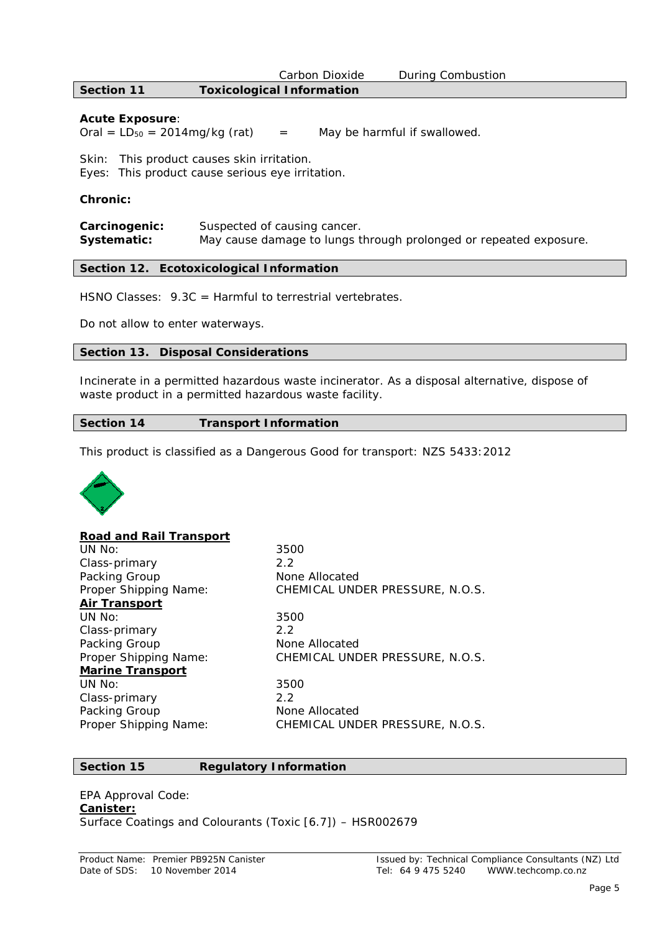|                   | Carbon Dioxide                   | During Combustion |
|-------------------|----------------------------------|-------------------|
| <b>Section 11</b> | <b>Toxicological Information</b> |                   |

#### **Acute Exposure**:

Oral =  $LD_{50} = 2014mg/kg$  (rat) = May be harmful if swallowed.

Skin: This product causes skin irritation.

Eyes: This product cause serious eye irritation.

#### **Chronic:**

| Carcinogenic: | Suspected of causing cancer.                                      |
|---------------|-------------------------------------------------------------------|
| Systematic:   | May cause damage to lungs through prolonged or repeated exposure. |

#### **Section 12. Ecotoxicological Information**

HSNO Classes:  $9.3C =$  Harmful to terrestrial vertebrates.

Do not allow to enter waterways.

#### **Section 13. Disposal Considerations**

Incinerate in a permitted hazardous waste incinerator. As a disposal alternative, dispose of waste product in a permitted hazardous waste facility.

#### **Section 14 Transport Information**

This product is classified as a Dangerous Good for transport: NZS 5433:2012



#### **Road and Rail Transport**

UN No: 3500 Class-primary 2.2 Packing Group None Allocated **Air Transport** UN No: 3500 Class-primary 2.2 Packing Group None Allocated **Marine Transport** UN No: 3500<br>Class-primary 3500 Class-primary Packing Group None Allocated

Proper Shipping Name: CHEMICAL UNDER PRESSURE, N.O.S. Proper Shipping Name: CHEMICAL UNDER PRESSURE, N.O.S.

Proper Shipping Name: CHEMICAL UNDER PRESSURE, N.O.S.

#### **Section 15 Regulatory Information**

#### EPA Approval Code: **Canister:** Surface Coatings and Colourants (Toxic [6.7]) – HSR002679